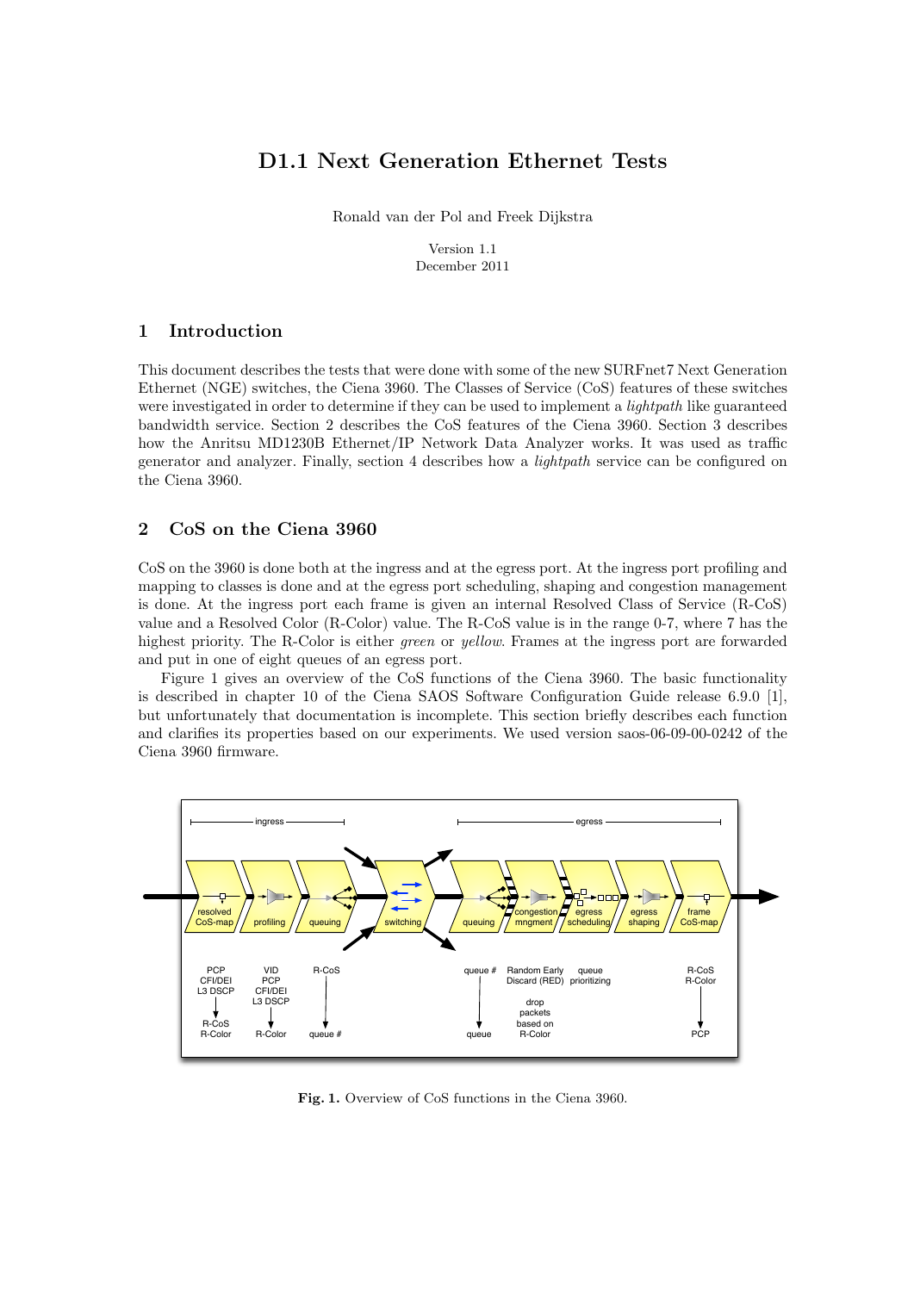# D1.1 Next Generation Ethernet Tests

Ronald van der Pol and Freek Dijkstra

Version 1.1 December 2011

## 1 Introduction

This document describes the tests that were done with some of the new SURFnet7 Next Generation Ethernet (NGE) switches, the Ciena 3960. The Classes of Service (CoS) features of these switches were investigated in order to determine if they can be used to implement a *lightpath* like guaranteed bandwidth service. Section 2 describes the CoS features of the Ciena 3960. Section 3 describes how the Anritsu MD1230B Ethernet/IP Network Data Analyzer works. It was used as traffic generator and analyzer. Finally, section 4 describes how a lightpath service can be configured on the Ciena 3960.

### 2 CoS on the Ciena 3960

CoS on the 3960 is done both at the ingress and at the egress port. At the ingress port profiling and mapping to classes is done and at the egress port scheduling, shaping and congestion management is done. At the ingress port each frame is given an internal Resolved Class of Service (R-CoS) value and a Resolved Color (R-Color) value. The R-CoS value is in the range 0-7, where 7 has the highest priority. The R-Color is either *green* or *yellow*. Frames at the ingress port are forwarded and put in one of eight queues of an egress port.

Figure 1 gives an overview of the CoS functions of the Ciena 3960. The basic functionality is described in chapter 10 of the Ciena SAOS Software Configuration Guide release 6.9.0 [1], but unfortunately that documentation is incomplete. This section briefly describes each function and clarifies its properties based on our experiments. We used version saos-06-09-00-0242 of the Ciena 3960 firmware.



Fig. 1. Overview of CoS functions in the Ciena 3960.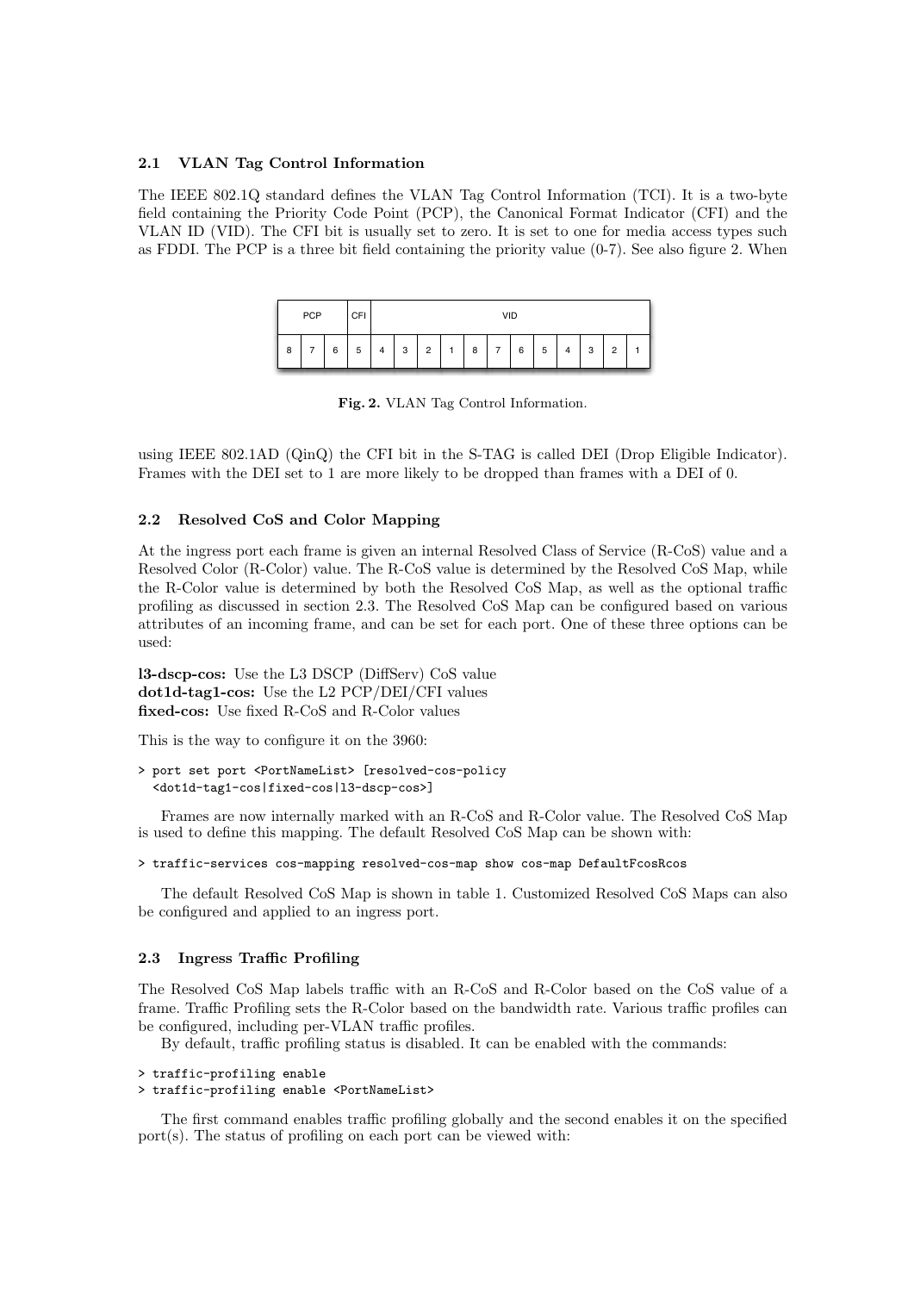### 2.1 VLAN Tag Control Information

The IEEE 802.1Q standard defines the VLAN Tag Control Information (TCI). It is a two-byte field containing the Priority Code Point (PCP), the Canonical Format Indicator (CFI) and the VLAN ID (VID). The CFI bit is usually set to zero. It is set to one for media access types such as FDDI. The PCP is a three bit field containing the priority value (0-7). See also figure 2. When



Fig. 2. VLAN Tag Control Information.

using IEEE 802.1AD (QinQ) the CFI bit in the S-TAG is called DEI (Drop Eligible Indicator). Frames with the DEI set to 1 are more likely to be dropped than frames with a DEI of 0.

#### 2.2 Resolved CoS and Color Mapping

At the ingress port each frame is given an internal Resolved Class of Service (R-CoS) value and a Resolved Color (R-Color) value. The R-CoS value is determined by the Resolved CoS Map, while the R-Color value is determined by both the Resolved CoS Map, as well as the optional traffic profiling as discussed in section 2.3. The Resolved CoS Map can be configured based on various attributes of an incoming frame, and can be set for each port. One of these three options can be used:

l3-dscp-cos: Use the L3 DSCP (DiffServ) CoS value dot1d-tag1-cos: Use the L2 PCP/DEI/CFI values fixed-cos: Use fixed R-CoS and R-Color values

This is the way to configure it on the 3960:

```
> port set port <PortNameList> [resolved-cos-policy
  <dot1d-tag1-cos|fixed-cos|l3-dscp-cos>]
```
Frames are now internally marked with an R-CoS and R-Color value. The Resolved CoS Map is used to define this mapping. The default Resolved CoS Map can be shown with:

```
> traffic-services cos-mapping resolved-cos-map show cos-map DefaultFcosRcos
```
The default Resolved CoS Map is shown in table 1. Customized Resolved CoS Maps can also be configured and applied to an ingress port.

#### 2.3 Ingress Traffic Profiling

The Resolved CoS Map labels traffic with an R-CoS and R-Color based on the CoS value of a frame. Traffic Profiling sets the R-Color based on the bandwidth rate. Various traffic profiles can be configured, including per-VLAN traffic profiles.

By default, traffic profiling status is disabled. It can be enabled with the commands:

```
> traffic-profiling enable
> traffic-profiling enable <PortNameList>
```
The first command enables traffic profiling globally and the second enables it on the specified port(s). The status of profiling on each port can be viewed with: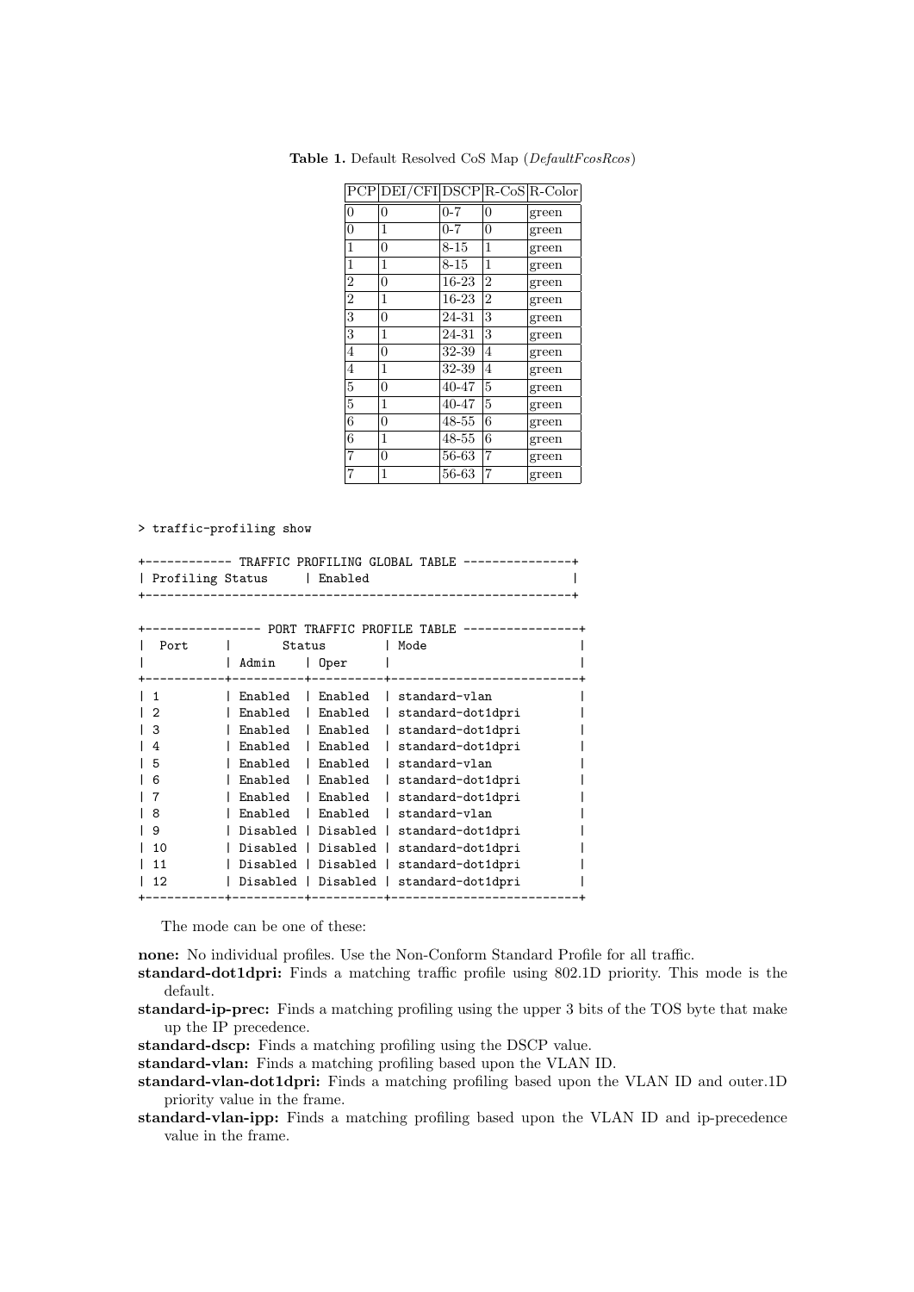|                  | PCP DEI/CFI DSCP R-CoS R-Color |          |                |       |
|------------------|--------------------------------|----------|----------------|-------|
| $\overline{0}$   | $\overline{0}$                 | $0 - 7$  | $\overline{0}$ | green |
| $\boldsymbol{0}$ | 1                              | $0 - 7$  | $\overline{0}$ | green |
| $\mathbf{1}$     | $\overline{0}$                 | $8 - 15$ | 1              | green |
| $\mathbf{1}$     | 1                              | $8 - 15$ | 1              | green |
| $\overline{2}$   | $\overline{0}$                 | 16-23    | $\overline{2}$ | green |
| $\overline{2}$   | 1                              | 16-23    | $\overline{2}$ | green |
| $\overline{3}$   | $\overline{0}$                 | 24-31    | 3              | green |
| 3                | 1                              | 24-31    | 3              | green |
| $\overline{4}$   | $\overline{0}$                 | 32-39    | 4              | green |
| $\overline{4}$   | 1                              | 32-39    | $\overline{4}$ | green |
| $\overline{5}$   | $\overline{0}$                 | 40-47    | 5              | green |
| $\overline{5}$   | 1                              | 40-47    | 5              | green |
| 6                | $\overline{0}$                 | 48-55    | 6              | green |
| 6                | 1                              | 48-55    | 6              | green |
| $\overline{7}$   | $\overline{0}$                 | 56-63    | 7              | green |
| $\overline{7}$   | 1                              | 56-63    | 7              | green |

Table 1. Default Resolved CoS Map (DefaultFcosRcos)

> traffic-profiling show

|                            |  |  | +----------- TRAFFIC PROFILING GLOBAL TABLE ---------------+ |
|----------------------------|--|--|--------------------------------------------------------------|
| Profiling Status   Enabled |  |  |                                                              |
|                            |  |  |                                                              |

|      |               | PORT TRAFFIC PROFILE TABLE |                   |
|------|---------------|----------------------------|-------------------|
| Port | Status        |                            | Mode              |
|      | Admin<br>Oper |                            |                   |
|      |               |                            |                   |
| 1    | Enabled       | Enabled                    | standard-vlan     |
| 2    | Enabled       | Enabled                    | standard-dot1dpri |
| 3    | Enabled       | Enabled                    | standard-dot1dpri |
| 4    | Enabled       | Enabled                    | standard-dot1dpri |
| 5    | Enabled       | Enabled                    | standard-vlan     |
| 6    | Enabled       | Enabled                    | standard-dot1dpri |
| 7    | Enabled       | Enabled                    | standard-dot1dpri |
| 8    | Enabled       | Enabled                    | standard-vlan     |
| 9    | Disabled      | Disabled                   | standard-dot1dpri |
| 10   | Disabled      | Disabled                   | standard-dot1dpri |
| 11   | Disabled      | Disabled                   | standard-dot1dpri |
| 12   | Disabled      | Disabled                   | standard-dot1dpri |
|      |               |                            |                   |

The mode can be one of these:

none: No individual profiles. Use the Non-Conform Standard Profile for all traffic.

standard-dot1dpri: Finds a matching traffic profile using 802.1D priority. This mode is the default.

- standard-ip-prec: Finds a matching profiling using the upper 3 bits of the TOS byte that make up the IP precedence.
- standard-dscp: Finds a matching profiling using the DSCP value.

standard-vlan: Finds a matching profiling based upon the VLAN ID.

- standard-vlan-dot1dpri: Finds a matching profiling based upon the VLAN ID and outer.1D priority value in the frame.
- standard-vlan-ipp: Finds a matching profiling based upon the VLAN ID and ip-precedence value in the frame.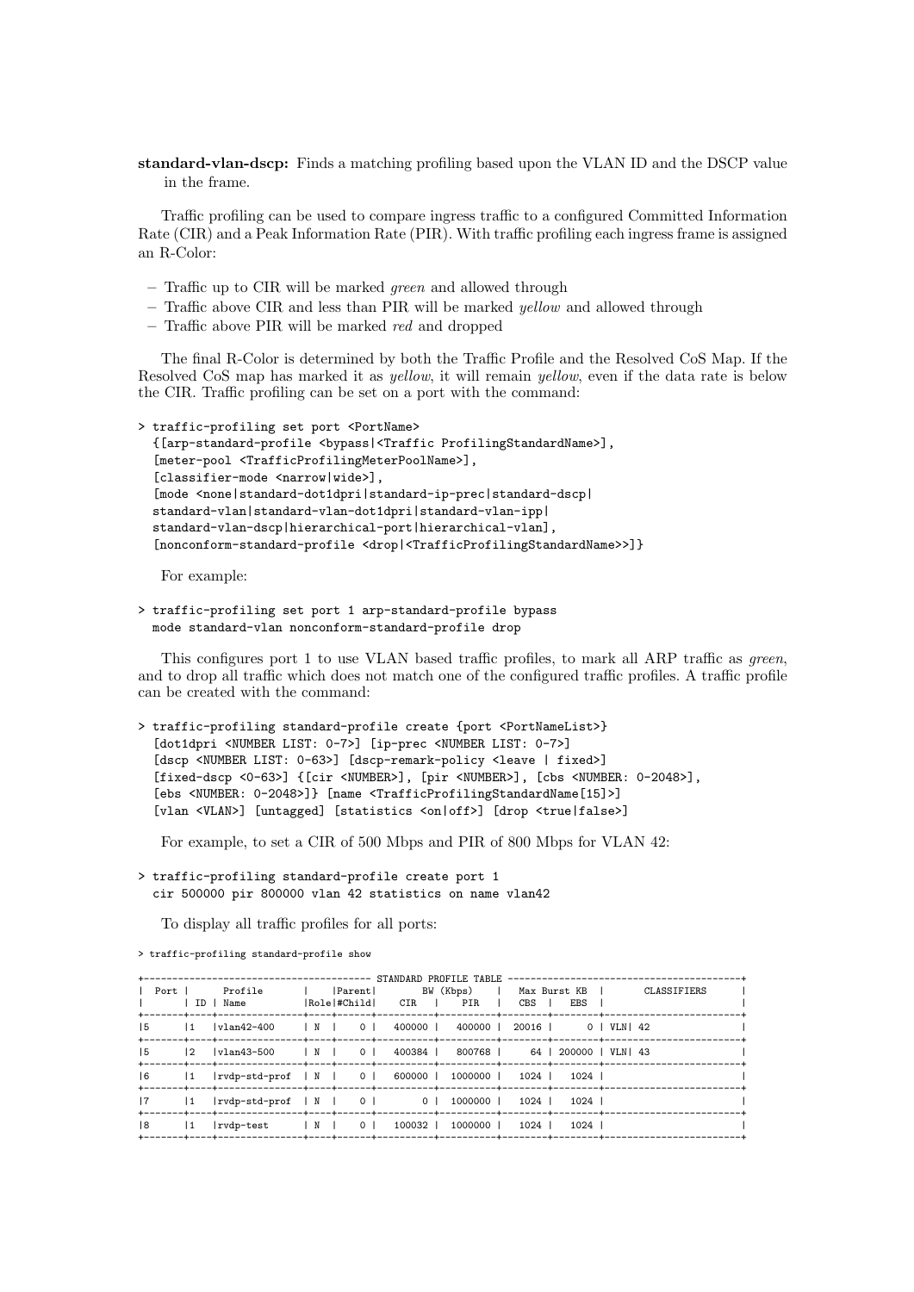standard-vlan-dscp: Finds a matching profiling based upon the VLAN ID and the DSCP value in the frame.

Traffic profiling can be used to compare ingress traffic to a configured Committed Information Rate (CIR) and a Peak Information Rate (PIR). With traffic profiling each ingress frame is assigned an R-Color:

- Traffic up to CIR will be marked green and allowed through
- Traffic above CIR and less than PIR will be marked yellow and allowed through
- Traffic above PIR will be marked red and dropped

The final R-Color is determined by both the Traffic Profile and the Resolved CoS Map. If the Resolved CoS map has marked it as yellow, it will remain yellow, even if the data rate is below the CIR. Traffic profiling can be set on a port with the command:

```
> traffic-profiling set port <PortName>
  {[arp-standard-profile <bypass|<Traffic ProfilingStandardName>],
  [meter-pool <TrafficProfilingMeterPoolName>],
  [classifier-mode <narrow|wide>],
  [mode <none|standard-dot1dpri|standard-ip-prec|standard-dscp|
  standard-vlan|standard-vlan-dot1dpri|standard-vlan-ipp|
  standard-vlan-dscp|hierarchical-port|hierarchical-vlan],
  [nonconform-standard-profile <drop|<TrafficProfilingStandardName>>]}
```
For example:

```
> traffic-profiling set port 1 arp-standard-profile bypass
  mode standard-vlan nonconform-standard-profile drop
```
This configures port 1 to use VLAN based traffic profiles, to mark all ARP traffic as *green*, and to drop all traffic which does not match one of the configured traffic profiles. A traffic profile can be created with the command:

```
> traffic-profiling standard-profile create {port <PortNameList>}
  [dot1dpri <NUMBER LIST: 0-7>] [ip-prec <NUMBER LIST: 0-7>]
  [dscp <NUMBER LIST: 0-63>] [dscp-remark-policy <leave | fixed>]
  [fixed-dscp <0-63>] {[cir <NUMBER>], [pir <NUMBER>], [cbs <NUMBER: 0-2048>],
  [ebs <NUMBER: 0-2048>]} [name <TrafficProfilingStandardName[15]>]
  [vlan <VLAN>] [untagged] [statistics <on|off>] [drop <true|false>]
```
For example, to set a CIR of 500 Mbps and PIR of 800 Mbps for VLAN 42:

```
> traffic-profiling standard-profile create port 1
  cir 500000 pir 800000 vlan 42 statistics on name vlan42
```
To display all traffic profiles for all ports:

|             |               | Port   Profile    Parent  BW (Kbps)   Max-Burst-KB  <br>  ID   Name               Role #Child      CIR             PIR            CBS          EBS |  |                                        |  | CLASSIFIERS |
|-------------|---------------|----------------------------------------------------------------------------------------------------------------------------------------------------|--|----------------------------------------|--|-------------|
| 15          |               |                                                                                                                                                    |  |                                        |  |             |
| $ 5\rangle$ |               |                                                                                                                                                    |  |                                        |  |             |
| $ 6\rangle$ |               | 1  rvdp-std-prof   N   0   600000   1000000   1024   1024                                                                                          |  |                                        |  |             |
| 7           | $\mathbf{11}$ | rvdp-std-prof   N   0   0   1000000   1024   1024                                                                                                  |  |                                        |  |             |
| 8           | $\mathbf{11}$ | $ rvdp-test$                                                                                                                                       |  | N   0   100032   1000000   1024   1024 |  |             |

> traffic-profiling standard-profile show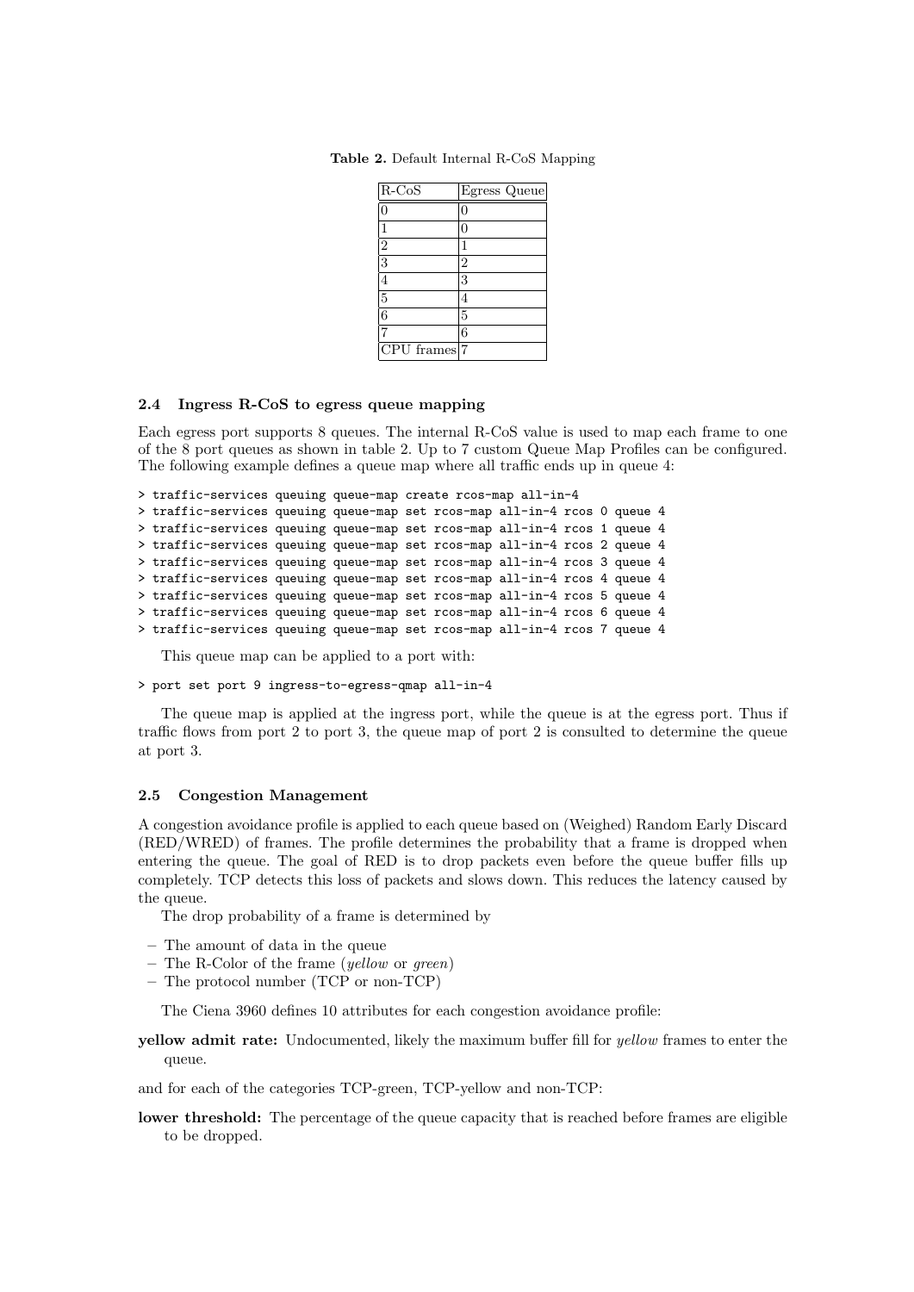| $R-CoS$        | Egress Queue   |
|----------------|----------------|
| 0              | C              |
|                | O              |
| $\overline{2}$ |                |
| $\overline{3}$ | $\overline{2}$ |
| 4              | 3              |
| $\overline{5}$ | 4              |
| $\overline{6}$ | 5              |
|                | 6              |
| CPU frames     | 7              |

Table 2. Default Internal R-CoS Mapping

#### 2.4 Ingress R-CoS to egress queue mapping

Each egress port supports 8 queues. The internal R-CoS value is used to map each frame to one of the 8 port queues as shown in table 2. Up to 7 custom Queue Map Profiles can be configured. The following example defines a queue map where all traffic ends up in queue 4:

```
> traffic-services queuing queue-map create rcos-map all-in-4
> traffic-services queuing queue-map set rcos-map all-in-4 rcos 0 queue 4
> traffic-services queuing queue-map set rcos-map all-in-4 rcos 1 queue 4
> traffic-services queuing queue-map set rcos-map all-in-4 rcos 2 queue 4
> traffic-services queuing queue-map set rcos-map all-in-4 rcos 3 queue 4
> traffic-services queuing queue-map set rcos-map all-in-4 rcos 4 queue 4
> traffic-services queuing queue-map set rcos-map all-in-4 rcos 5 queue 4
> traffic-services queuing queue-map set rcos-map all-in-4 rcos 6 queue 4
> traffic-services queuing queue-map set rcos-map all-in-4 rcos 7 queue 4
```
This queue map can be applied to a port with:

#### > port set port 9 ingress-to-egress-qmap all-in-4

The queue map is applied at the ingress port, while the queue is at the egress port. Thus if traffic flows from port 2 to port 3, the queue map of port 2 is consulted to determine the queue at port 3.

#### 2.5 Congestion Management

A congestion avoidance profile is applied to each queue based on (Weighed) Random Early Discard (RED/WRED) of frames. The profile determines the probability that a frame is dropped when entering the queue. The goal of RED is to drop packets even before the queue buffer fills up completely. TCP detects this loss of packets and slows down. This reduces the latency caused by the queue.

The drop probability of a frame is determined by

- The amount of data in the queue
- The R-Color of the frame (yellow or green)
- The protocol number (TCP or non-TCP)

The Ciena 3960 defines 10 attributes for each congestion avoidance profile:

yellow admit rate: Undocumented, likely the maximum buffer fill for yellow frames to enter the queue.

and for each of the categories TCP-green, TCP-yellow and non-TCP:

lower threshold: The percentage of the queue capacity that is reached before frames are eligible to be dropped.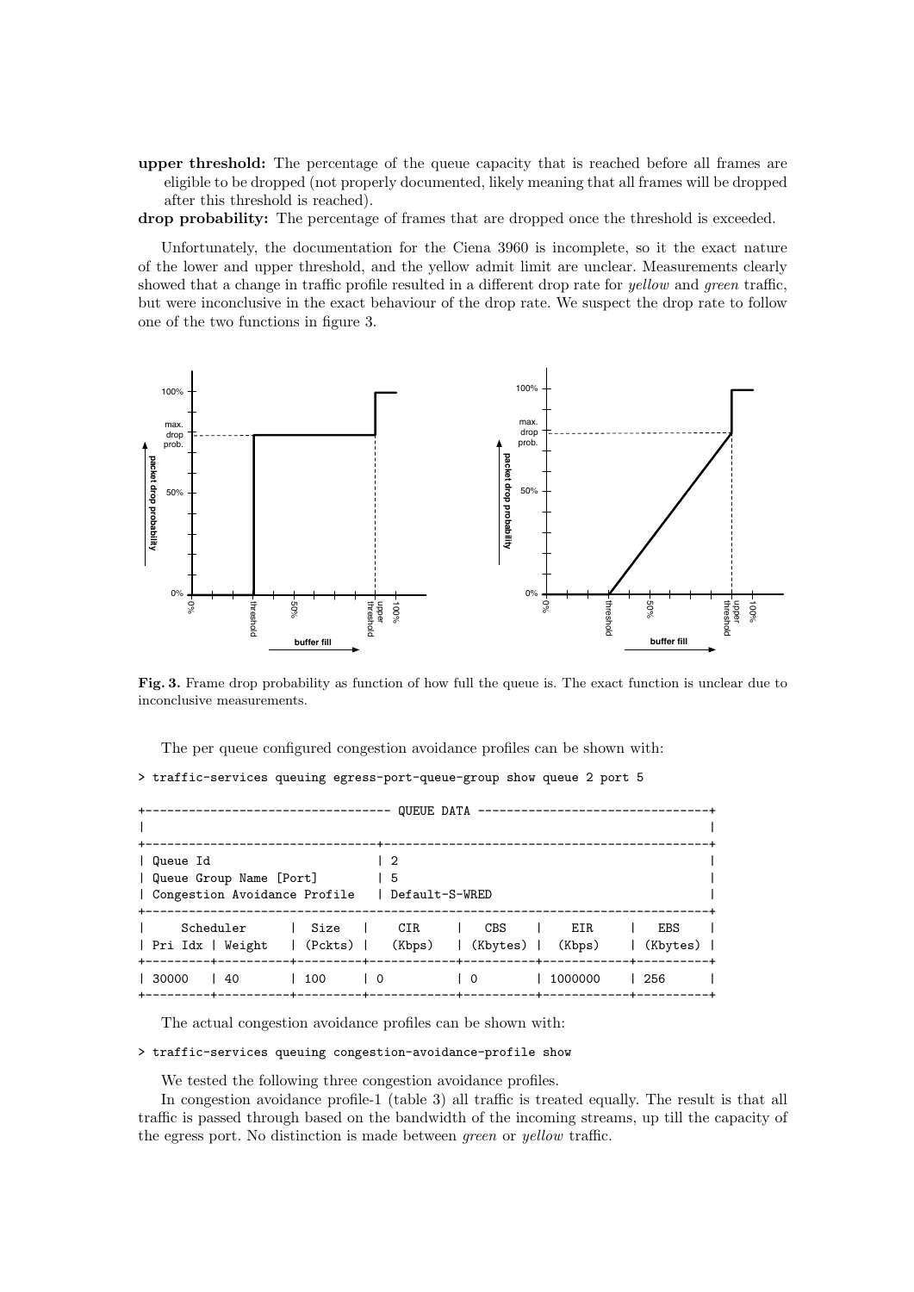upper threshold: The percentage of the queue capacity that is reached before all frames are eligible to be dropped (not properly documented, likely meaning that all frames will be dropped after this threshold is reached).

drop probability: The percentage of frames that are dropped once the threshold is exceeded.

Unfortunately, the documentation for the Ciena 3960 is incomplete, so it the exact nature of the lower and upper threshold, and the yellow admit limit are unclear. Measurements clearly showed that a change in traffic profile resulted in a different drop rate for yellow and green traffic, but were inconclusive in the exact behaviour of the drop rate. We suspect the drop rate to follow one of the two functions in figure 3.



Fig. 3. Frame drop probability as function of how full the queue is. The exact function is unclear due to inconclusive measurements.

The per queue configured congestion avoidance profiles can be shown with:

> traffic-services queuing egress-port-queue-group show queue 2 port 5

| ---------------------------------                                                                                               |     |           |                          | QUEUE DATA --------------------- |                        |
|---------------------------------------------------------------------------------------------------------------------------------|-----|-----------|--------------------------|----------------------------------|------------------------|
| Queue Id<br>  Queue Group Name [Port]<br>  Congestion Avoidance Profile   Default-S-WRED                                        |     | -2<br>I 5 |                          |                                  |                        |
| Scheduler<br>Size   CIR<br>CBS<br>EIR<br><b>EBS</b><br>  Pri Idx   Weight   (Pckts)   (Kbps)<br>  (Kbytes)   (Kbps)<br>(Kbytes) |     |           |                          |                                  |                        |
| 30000<br>$\frac{1}{40}$                                                                                                         | 100 | ΙO        | $\overline{\phantom{0}}$ | 1000000                          | -+----------+<br>  256 |

The actual congestion avoidance profiles can be shown with:

#### > traffic-services queuing congestion-avoidance-profile show

We tested the following three congestion avoidance profiles.

In congestion avoidance profile-1 (table 3) all traffic is treated equally. The result is that all traffic is passed through based on the bandwidth of the incoming streams, up till the capacity of the egress port. No distinction is made between green or yellow traffic.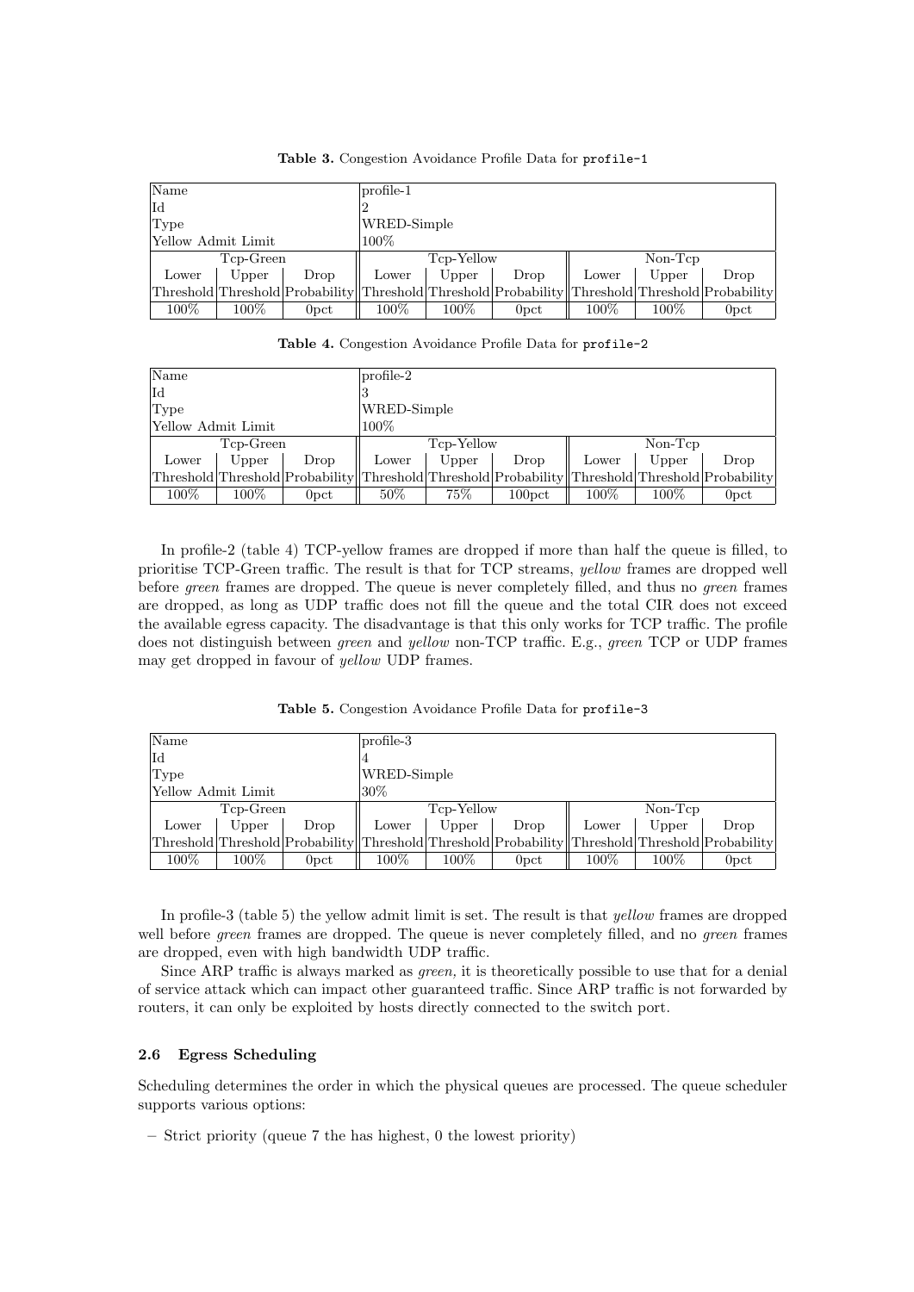| Name               |           |                                                                                                 | $profile-1$ |            |                  |           |         |                  |
|--------------------|-----------|-------------------------------------------------------------------------------------------------|-------------|------------|------------------|-----------|---------|------------------|
| Id                 |           |                                                                                                 |             |            |                  |           |         |                  |
| Type               |           |                                                                                                 | WRED-Simple |            |                  |           |         |                  |
| Yellow Admit Limit |           |                                                                                                 | $100\%$     |            |                  |           |         |                  |
|                    | Tcp-Green |                                                                                                 |             | Tcp-Yellow |                  | $Non-Tcp$ |         |                  |
| Lower              | Upper     | Drop                                                                                            | Lower       | Upper      | Drop             | Lower     | Upper   | Drop             |
|                    |           | Threshold Threshold Probability Threshold Threshold Probability Threshold Threshold Probability |             |            |                  |           |         |                  |
| $100\%$            | $100\%$   | 0 <sub>pot</sub>                                                                                | $100\%$     | $100\%$    | 0 <sub>pot</sub> | $100\%$   | $100\%$ | 0 <sub>pet</sub> |

Table 3. Congestion Avoidance Profile Data for profile-1

|  | Table 4. Congestion Avoidance Profile Data for profile-2 |  |  |  |  |  |
|--|----------------------------------------------------------|--|--|--|--|--|
|--|----------------------------------------------------------|--|--|--|--|--|

| Name               |           |                  | $ profile-2$ |            |                                                                                                 |         |           |                  |
|--------------------|-----------|------------------|--------------|------------|-------------------------------------------------------------------------------------------------|---------|-----------|------------------|
| Id                 |           |                  |              |            |                                                                                                 |         |           |                  |
| Type               |           |                  | WRED-Simple  |            |                                                                                                 |         |           |                  |
| Yellow Admit Limit |           |                  | 100\%        |            |                                                                                                 |         |           |                  |
|                    | Tcp-Green |                  |              | Tcp-Yellow |                                                                                                 |         | $Non-Tcp$ |                  |
| Lower              | Upper     | Drop             | Lower        | Upper      | Drop                                                                                            | Lower   | Upper     | Drop             |
|                    |           |                  |              |            | Threshold Threshold Probability Threshold Threshold Probability Threshold Threshold Probability |         |           |                  |
| $100\%$            | $100\%$   | 0 <sub>pot</sub> | $50\%$       | 75%        | 100 <sub>pet</sub>                                                                              | $100\%$ | $100\%$   | 0 <sub>pot</sub> |

In profile-2 (table 4) TCP-yellow frames are dropped if more than half the queue is filled, to prioritise TCP-Green traffic. The result is that for TCP streams, yellow frames are dropped well before green frames are dropped. The queue is never completely filled, and thus no green frames are dropped, as long as UDP traffic does not fill the queue and the total CIR does not exceed the available egress capacity. The disadvantage is that this only works for TCP traffic. The profile does not distinguish between green and yellow non-TCP traffic. E.g., green TCP or UDP frames may get dropped in favour of yellow UDP frames.

Table 5. Congestion Avoidance Profile Data for profile-3

| Name               |           |                  | $profile-3$ |            |                                                                                                 |         |           |         |
|--------------------|-----------|------------------|-------------|------------|-------------------------------------------------------------------------------------------------|---------|-----------|---------|
| Id                 |           |                  |             |            |                                                                                                 |         |           |         |
| Type               |           |                  | WRED-Simple |            |                                                                                                 |         |           |         |
| Yellow Admit Limit |           |                  | $30\%$      |            |                                                                                                 |         |           |         |
|                    | Tcp-Green |                  |             | Tcp-Yellow |                                                                                                 |         | $Non-Tcp$ |         |
| Lower              | Upper     | Drop             | Lower       | Upper      | Drop                                                                                            | Lower   | Upper     | Drop    |
|                    |           |                  |             |            | Threshold Threshold Probability Threshold Threshold Probability Threshold Threshold Probability |         |           |         |
| 100%               | $100\%$   | 0 <sub>pet</sub> | $100\%$     | $100\%$    | 0 <sub>pot</sub>                                                                                | $100\%$ | $100\%$   | $0pc$ t |

In profile-3 (table 5) the yellow admit limit is set. The result is that yellow frames are dropped well before *green* frames are dropped. The queue is never completely filled, and no *green* frames are dropped, even with high bandwidth UDP traffic.

Since ARP traffic is always marked as green, it is theoretically possible to use that for a denial of service attack which can impact other guaranteed traffic. Since ARP traffic is not forwarded by routers, it can only be exploited by hosts directly connected to the switch port.

#### 2.6 Egress Scheduling

Scheduling determines the order in which the physical queues are processed. The queue scheduler supports various options:

– Strict priority (queue 7 the has highest, 0 the lowest priority)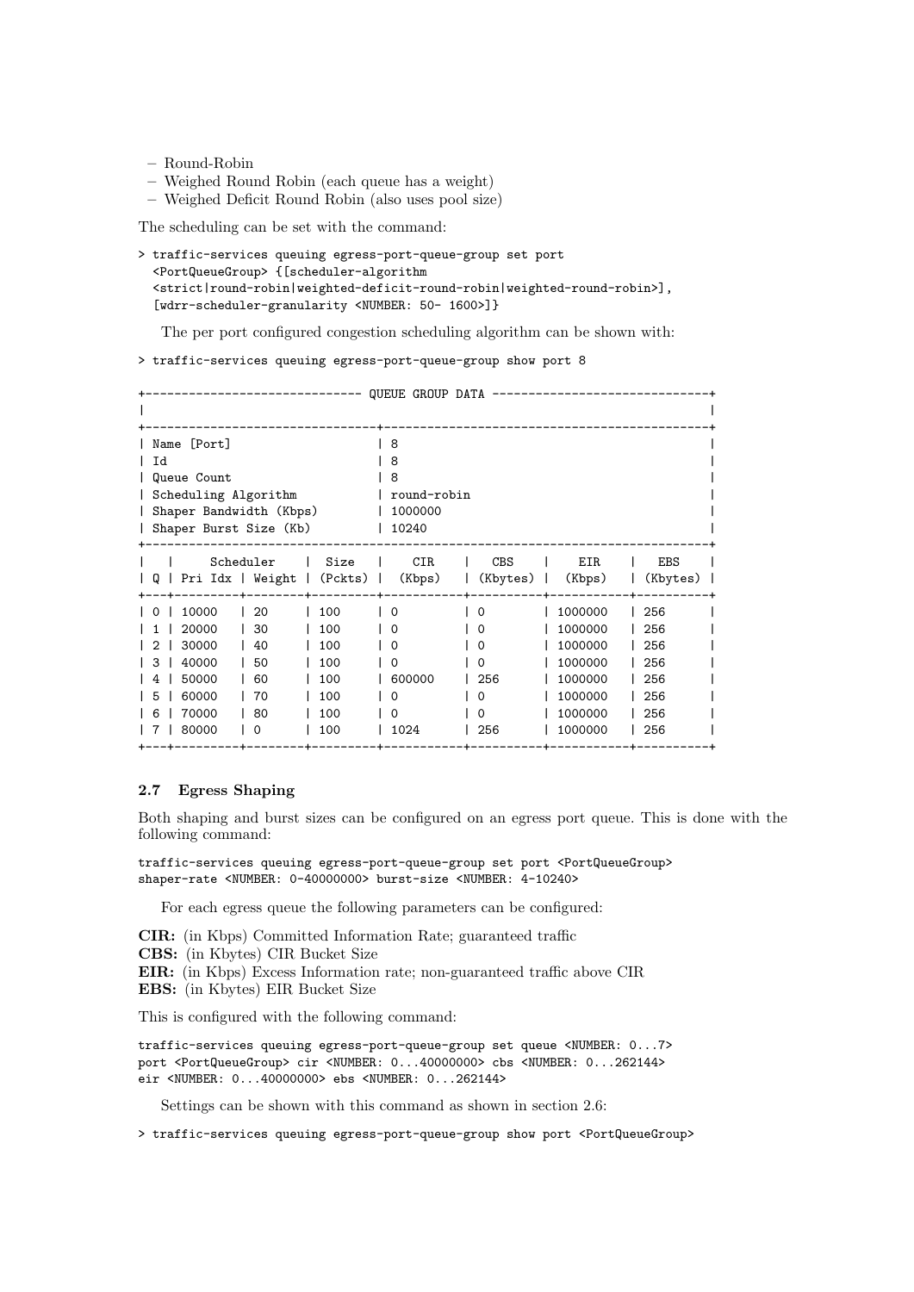- Round-Robin
- Weighed Round Robin (each queue has a weight)
- Weighed Deficit Round Robin (also uses pool size)

The scheduling can be set with the command:

```
> traffic-services queuing egress-port-queue-group set port
  <PortQueueGroup> {[scheduler-algorithm
  <strict|round-robin|weighted-deficit-round-robin|weighted-round-robin>],
  [wdrr-scheduler-granularity <NUMBER: 50- 1600>]}
```
The per port configured congestion scheduling algorithm can be shown with:

> traffic-services queuing egress-port-queue-group show port 8

|                                                                                                                                                |                                                      | QUEUE GROUP DATA                                    |                                                 |                                                                                      |                                                      |
|------------------------------------------------------------------------------------------------------------------------------------------------|------------------------------------------------------|-----------------------------------------------------|-------------------------------------------------|--------------------------------------------------------------------------------------|------------------------------------------------------|
|                                                                                                                                                |                                                      |                                                     |                                                 |                                                                                      |                                                      |
| Name [Port]<br>Id<br>Queue Count<br>Scheduling Algorithm<br>Shaper Bandwidth (Kbps)<br>Shaper Burst Size (Kb)                                  |                                                      | 8<br>8<br>8<br>round-robin<br>1000000<br>10240      |                                                 |                                                                                      |                                                      |
| Scheduler<br>Pri Idx   Weight   (Pckts)  <br>IQ.                                                                                               | Size                                                 | <b>CIR</b><br>(Kbps)<br>$\mathbf{I}$                | <b>CBS</b><br>(Kbytes)                          | <b>EIR</b><br>(Kbps)                                                                 | <b>EBS</b><br>(Kbytes)                               |
| 10000<br>20<br>$\Omega$<br>20000<br>30<br>30000<br>40<br>40000<br>50<br>3<br>50000<br>60<br>60000<br>70<br>5<br>70000<br>80<br>6<br>80000<br>0 | 100<br>100<br>100<br>100<br>100<br>100<br>100<br>100 | $\Omega$<br>Ω<br>ი<br>0<br>600000<br>Ω<br>ი<br>1024 | $\Omega$<br>0<br>O<br>0<br>256<br>0<br>Ω<br>256 | 1000000<br>1000000<br>1000000<br>1000000<br>1000000<br>1000000<br>1000000<br>1000000 | 256<br>256<br>256<br>256<br>256<br>256<br>256<br>256 |

#### 2.7 Egress Shaping

Both shaping and burst sizes can be configured on an egress port queue. This is done with the following command:

traffic-services queuing egress-port-queue-group set port <PortQueueGroup> shaper-rate <NUMBER: 0-40000000> burst-size <NUMBER: 4-10240>

For each egress queue the following parameters can be configured:

CIR: (in Kbps) Committed Information Rate; guaranteed traffic

- CBS: (in Kbytes) CIR Bucket Size
- EIR: (in Kbps) Excess Information rate; non-guaranteed traffic above CIR
- EBS: (in Kbytes) EIR Bucket Size

This is configured with the following command:

traffic-services queuing egress-port-queue-group set queue <NUMBER: 0...7> port <PortQueueGroup> cir <NUMBER: 0...40000000> cbs <NUMBER: 0...262144> eir <NUMBER: 0...40000000> ebs <NUMBER: 0...262144>

Settings can be shown with this command as shown in section 2.6:

> traffic-services queuing egress-port-queue-group show port <PortQueueGroup>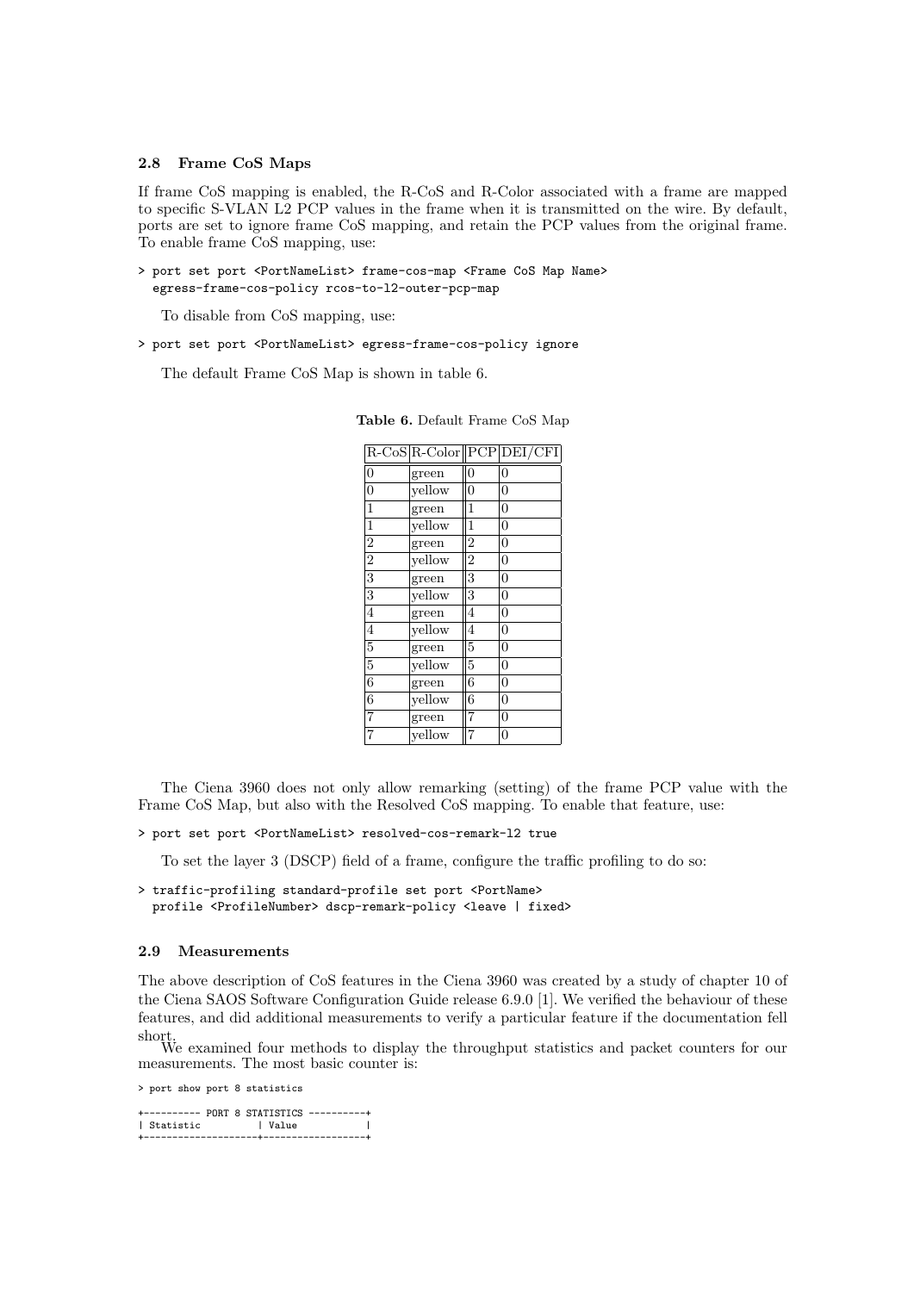#### 2.8 Frame CoS Maps

If frame CoS mapping is enabled, the R-CoS and R-Color associated with a frame are mapped to specific S-VLAN L2 PCP values in the frame when it is transmitted on the wire. By default, ports are set to ignore frame CoS mapping, and retain the PCP values from the original frame. To enable frame CoS mapping, use:

> port set port <PortNameList> frame-cos-map <Frame CoS Map Name> egress-frame-cos-policy rcos-to-l2-outer-pcp-map

To disable from CoS mapping, use:

> port set port <PortNameList> egress-frame-cos-policy ignore

The default Frame CoS Map is shown in table 6.

|                  |        |                | R-CoS R-Color  PCP DEI/CFI |
|------------------|--------|----------------|----------------------------|
| $\boldsymbol{0}$ | green  | $\overline{0}$ | $\overline{0}$             |
| $\overline{0}$   | vellow | $\overline{0}$ | $\overline{0}$             |
| $\mathbf{1}$     | green  | $\mathbf{1}$   | $\overline{0}$             |
| $\mathbf{1}$     | yellow | $\overline{1}$ | $\overline{0}$             |
| $\overline{2}$   | green  | $\overline{2}$ | $\overline{0}$             |
| $\overline{2}$   | yellow | $\overline{2}$ | $\overline{0}$             |
| $\overline{3}$   | green  | 3              | $\overline{0}$             |
| $\overline{3}$   | yellow | 3              | $\overline{0}$             |
| $\overline{4}$   | green  | 4              | $\overline{0}$             |
| $\overline{4}$   | yellow | $\overline{4}$ | $\overline{0}$             |
| $\overline{5}$   | green  | 5              | $\overline{0}$             |
| $\overline{5}$   | vellow | $\overline{5}$ | $\overline{0}$             |
| $\overline{6}$   | green  | 6              | $\overline{0}$             |
| $\overline{6}$   | yellow | 6              | $\overline{0}$             |
| $\overline{7}$   | green  | 7              | $\overline{0}$             |
| $\overline{7}$   | yellow | $\overline{7}$ | $\overline{0}$             |

Table 6. Default Frame CoS Map

The Ciena 3960 does not only allow remarking (setting) of the frame PCP value with the Frame CoS Map, but also with the Resolved CoS mapping. To enable that feature, use:

> port set port <PortNameList> resolved-cos-remark-l2 true

To set the layer 3 (DSCP) field of a frame, configure the traffic profiling to do so:

```
> traffic-profiling standard-profile set port <PortName>
  profile <ProfileNumber> dscp-remark-policy <leave | fixed>
```
#### 2.9 Measurements

The above description of CoS features in the Ciena 3960 was created by a study of chapter 10 of the Ciena SAOS Software Configuration Guide release 6.9.0 [1]. We verified the behaviour of these features, and did additional measurements to verify a particular feature if the documentation fell

short. We examined four methods to display the throughput statistics and packet counters for our measurements. The most basic counter is:

> port show port 8 statistics

+---------- PORT 8 STATISTICS ----------+ | Value +--------------------+------------------+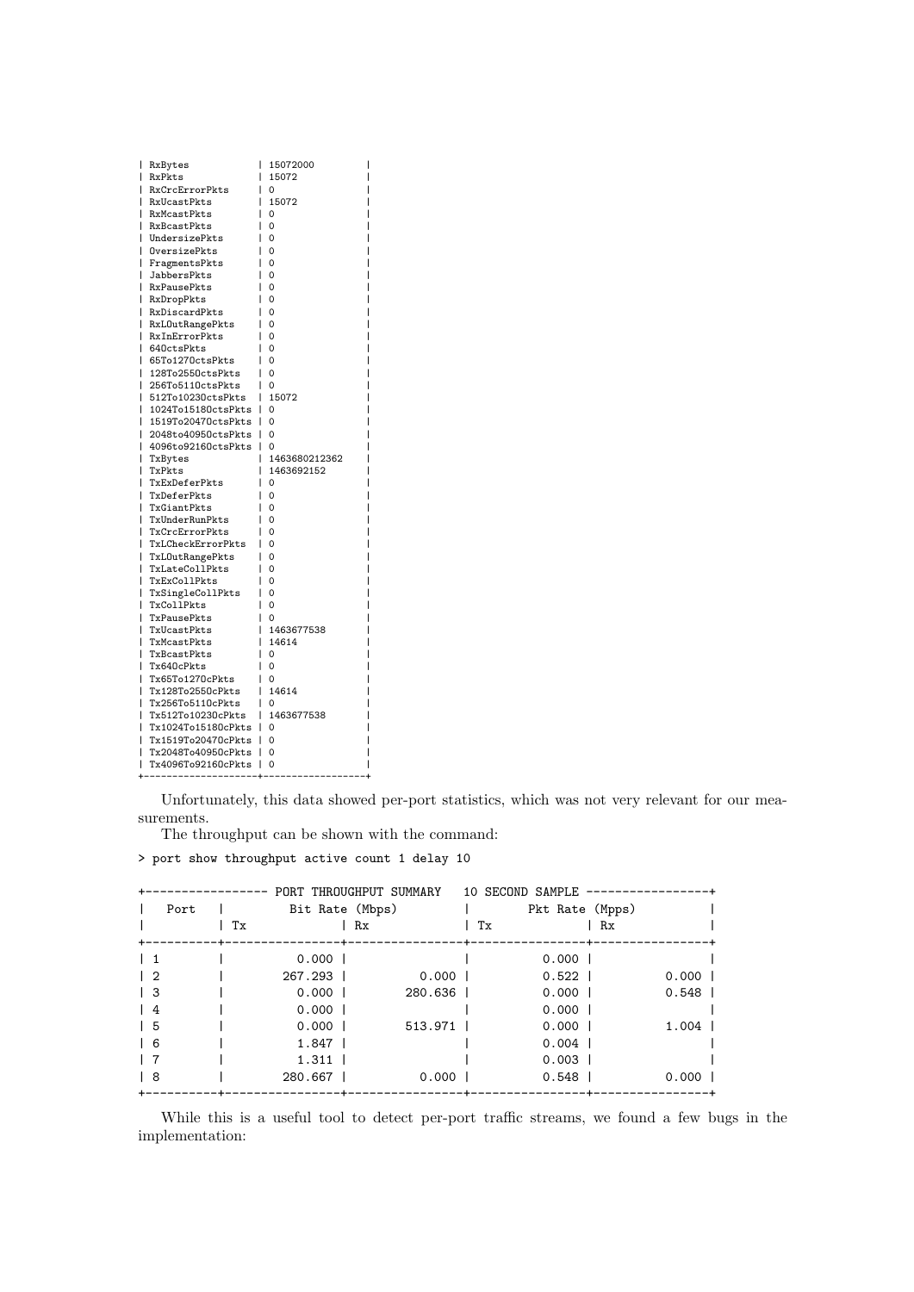| ı | RxBytes            | ı<br>15072000      |
|---|--------------------|--------------------|
| ı | RxPkts             | I<br>15072         |
| ı | RxCrcErrorPkts     | ı<br>0             |
| ı | RxUcastPkts        | I<br>15072         |
| ı | RxMcastPkts        | ı<br>0             |
| I | RxBcastPkts        | ı<br>$\Omega$      |
| ı | UndersizePkts      | 0<br>ı             |
| ı | OversizePkts       | $\mathbf 0$<br>I   |
| I | FragmentsPkts      | 0                  |
| ı | JabbersPkts        | ı<br>$\Omega$      |
|   | <b>RxPausePkts</b> | $\mathbf 0$<br>ı   |
| ı | RxDropPkts         | $\mathbf 0$<br>ı   |
| I | RxDiscardPkts      | 0<br>ı             |
| ı | RxLOutRangePkts    | 0<br>ı             |
| ı | RxInErrorPkts      | $\Omega$           |
| ı | 640ctsPkts         | $\Omega$           |
| ı | 65To1270ctsPkts    | 0                  |
| ı | 128To2550ctsPkts   | I<br>$\Omega$      |
| ı | 256To5110ctsPkts   | $\Omega$<br>ı      |
| I | 512To10230ctsPkts  | 15072<br>I         |
| ı | 1024To15180ctsPkts | ı<br>0             |
| I | 1519To20470ctsPkts | 0<br>ı             |
| ı | 2048to40950ctsPkts | I<br>0             |
|   | 4096to92160ctsPkts | 0<br>ı             |
| I | TxBytes            | 1463680212362<br>ı |
| ı | TxPkts             | 1463692152<br>ı    |
| ı | TxExDeferPkts      | I<br>0             |
|   | TxDeferPkts        | $\Omega$           |
| ı | TxGiantPkts        | ı<br>$\mathbf 0$   |
| ı | TxUnderRunPkts     | 0                  |
| ı | TxCrcErrorPkts     | 0<br>ı             |
| ı | TxLCheckErrorPkts  | 0<br>L             |
| I | TxLOutRangePkts    | 0<br>ı             |
| ı | TxLateCollPkts     | 0                  |
| ı | TxExCollPkts       | $\Omega$           |
| ı | TxSingleCollPkts   | 0<br>I             |
| ı | TxCollPkts         | $\mathbf 0$<br>I   |
| ı | TxPausePkts        | L<br>0             |
| ı | TxUcastPkts        | I<br>1463677538    |
| ı | TxMcastPkts        | 14614<br>I         |
| I | TxBcastPkts        | 0<br>ı             |
| I | Tx640cPkts         | $\Omega$<br>ı      |
| ı | Tx65To1270cPkts    | 0                  |
| ı | Tx128To2550cPkts   | I<br>14614         |
|   | Tx256To5110cPkts   | 0                  |
| ı | Tx512To10230cPkts  | ı<br>1463677538    |
| ı | Tx1024To15180cPkts | 0<br>ı             |
| ı | Tx1519To20470cPkts | 0<br>ı             |
| ı | Tx2048To40950cPkts | 0<br>ı             |
| ı | Tx4096To92160cPkts | 0<br>ı             |
|   |                    |                    |

Unfortunately, this data showed per-port statistics, which was not very relevant for our measurements.

The throughput can be shown with the command:

> port show throughput active count 1 delay 10

|               |    |                 | PORT THROUGHPUT SUMMARY |    | 10 SECOND SAMPLE |           |  |
|---------------|----|-----------------|-------------------------|----|------------------|-----------|--|
| Port          |    | Bit Rate (Mbps) |                         |    | Pkt Rate (Mpps)  |           |  |
|               | Tx |                 | Rx                      | Tx |                  | Rx        |  |
|               |    | $0.000$         |                         |    | $0.000$          |           |  |
| $\frac{1}{2}$ |    | 267.293         | $0.000$ 1               |    | $0.522$          | 0.0001    |  |
| $\vert$ 3     |    | $0.000$         | 280.636                 |    | $0.000$          | $0.548$   |  |
| $\frac{1}{4}$ |    | $0.000$         |                         |    | $0.000$          |           |  |
| 15            |    | $0.000$         | $513.971$               |    | $0.000$          | $1.004$   |  |
| 16            |    | $1.847$         |                         |    | $0.004$          |           |  |
|               |    | $1.311$         |                         |    | $0.003$          |           |  |
| l 8           |    | 280.667         | 0.000                   |    | $0.548$          | $0.000$ 1 |  |

While this is a useful tool to detect per-port traffic streams, we found a few bugs in the implementation: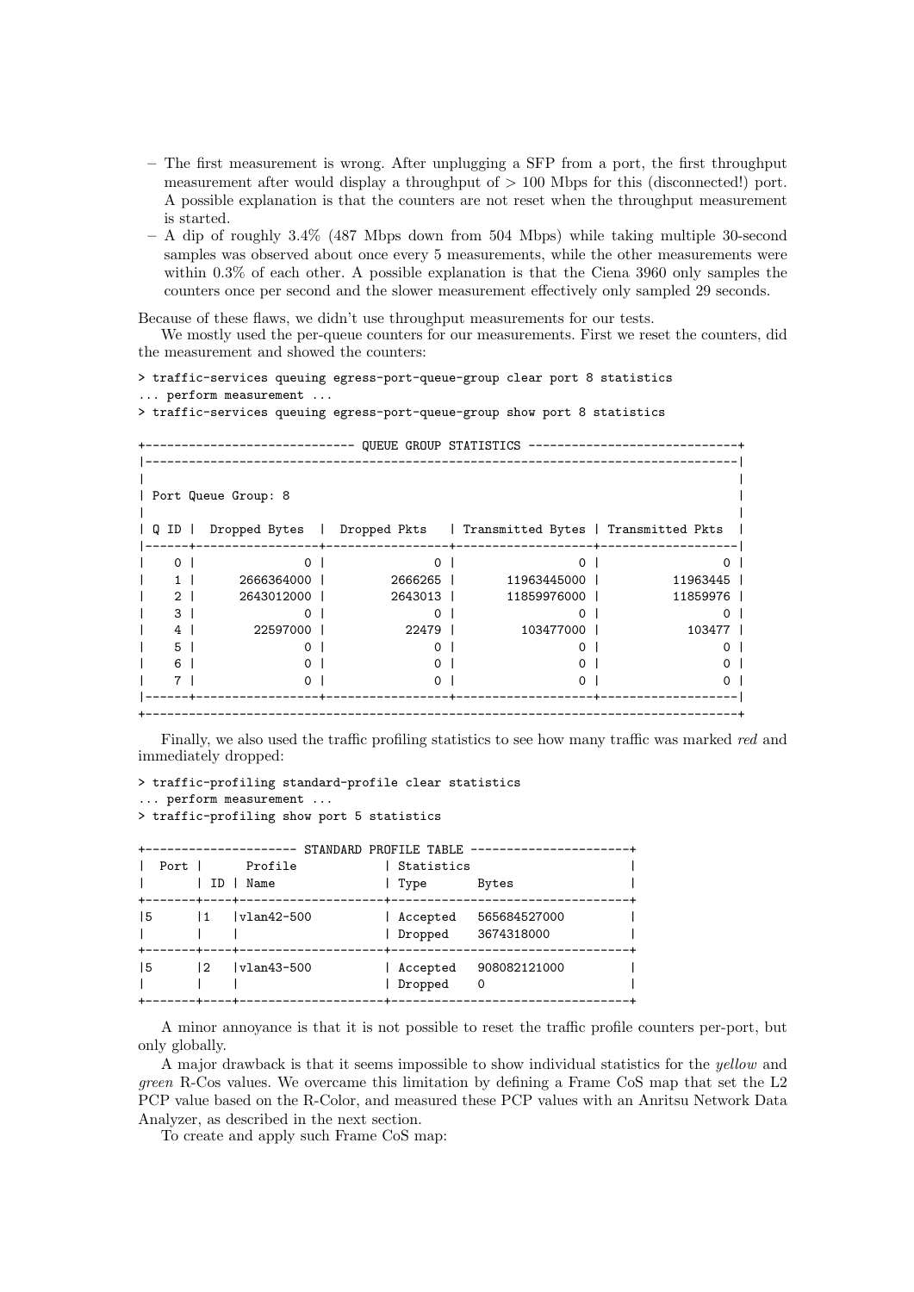- The first measurement is wrong. After unplugging a SFP from a port, the first throughput measurement after would display a throughput of  $> 100$  Mbps for this (disconnected!) port. A possible explanation is that the counters are not reset when the throughput measurement is started.
- A dip of roughly 3.4% (487 Mbps down from 504 Mbps) while taking multiple 30-second samples was observed about once every 5 measurements, while the other measurements were within 0.3% of each other. A possible explanation is that the Ciena 3960 only samples the counters once per second and the slower measurement effectively only sampled 29 seconds.

Because of these flaws, we didn't use throughput measurements for our tests.

We mostly used the per-queue counters for our measurements. First we reset the counters, did the measurement and showed the counters:

# > traffic-services queuing egress-port-queue-group clear port 8 statistics

... perform measurement ...

> traffic-services queuing egress-port-queue-group show port 8 statistics

|   |             | Port Queue Group: 8     |           |                                                     |          |
|---|-------------|-------------------------|-----------|-----------------------------------------------------|----------|
|   |             |                         |           |                                                     |          |
| Q | ID          | Dropped Bytes<br>$\Box$ |           | Dropped Pkts   Transmitted Bytes   Transmitted Pkts |          |
|   |             |                         |           |                                                     |          |
|   | $\Omega$    | ∩                       | ∩         | $\Omega$                                            |          |
|   |             | 2666364000              | 2666265   | 11963445000                                         | 11963445 |
|   | $2^{\circ}$ | 2643012000              | 2643013 1 | 11859976000                                         | 11859976 |
|   | 3           | $\Omega$                | $\Omega$  | $\Omega$                                            | $\Omega$ |
|   | 4           | 22597000                | 22479     | 103477000                                           | 103477   |
|   | 5           |                         |           | $\mathbf{\Omega}$                                   | 0        |
|   | 6           |                         |           |                                                     | 0        |
|   |             | $\Omega$                | $\Omega$  | $\Omega$                                            | 0        |

Finally, we also used the traffic profiling statistics to see how many traffic was marked red and immediately dropped:

```
> traffic-profiling standard-profile clear statistics
... perform measurement ...
```

```
> traffic-profiling show port 5 statistics
```

| Port 1 | ID                             | Profile<br>Name<br>------+----+------ | Statistics<br>Type  | STANDARD PROFILE TABLE -------------------<br>Bytes |
|--------|--------------------------------|---------------------------------------|---------------------|-----------------------------------------------------|
| 15     | $\overline{11}$<br>----+----+- | $ v1an42-500$                         | Accepted<br>Dropped | 565684527000<br>3674318000                          |
| 15     | $\overline{2}$                 | $ v1an43-500$                         | Accepted<br>Dropped | 908082121000<br>0                                   |

A minor annoyance is that it is not possible to reset the traffic profile counters per-port, but only globally.

A major drawback is that it seems impossible to show individual statistics for the yellow and green R-Cos values. We overcame this limitation by defining a Frame CoS map that set the L2 PCP value based on the R-Color, and measured these PCP values with an Anritsu Network Data Analyzer, as described in the next section.

To create and apply such Frame CoS map: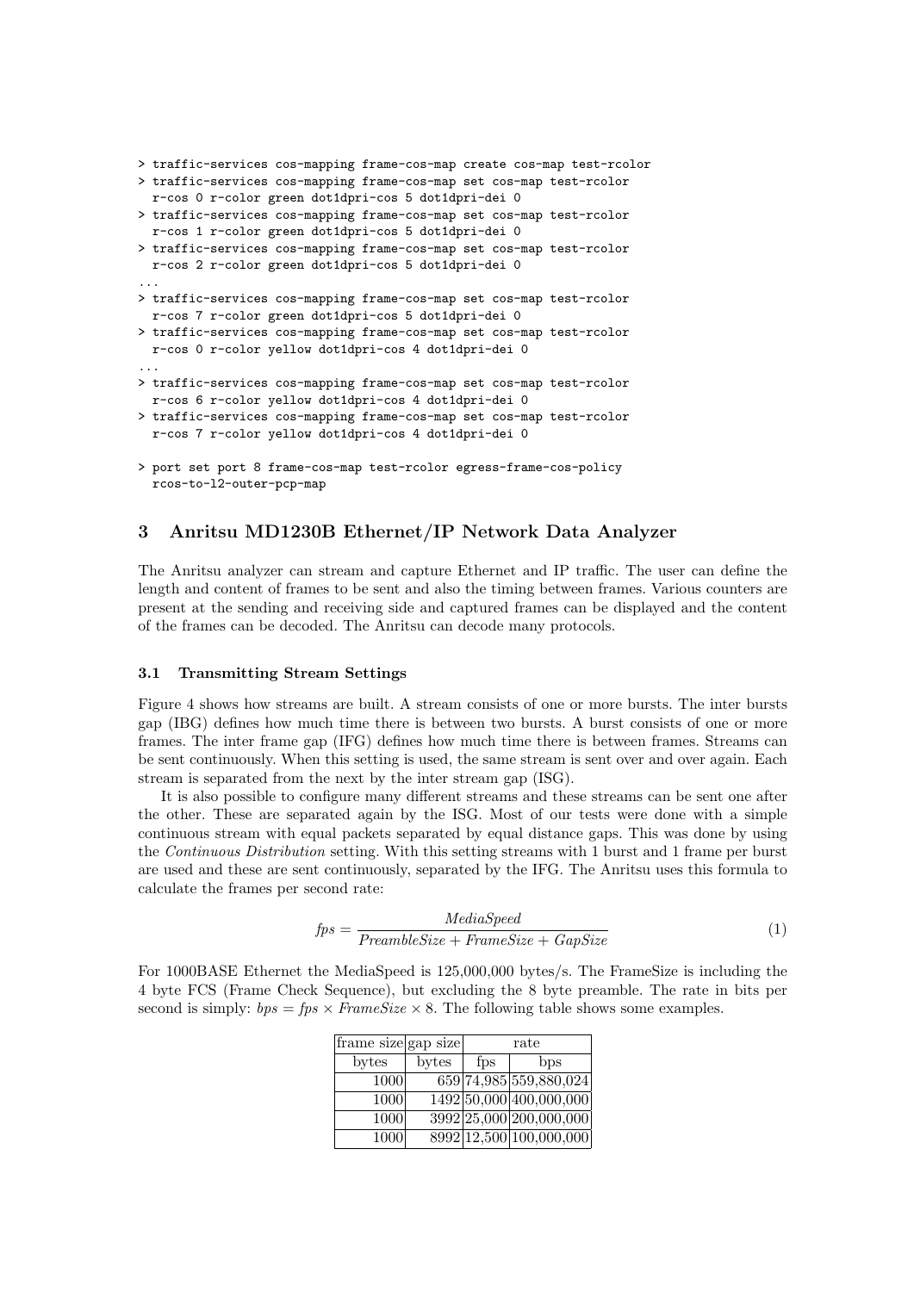```
> traffic-services cos-mapping frame-cos-map create cos-map test-rcolor
> traffic-services cos-mapping frame-cos-map set cos-map test-rcolor
  r-cos 0 r-color green dot1dpri-cos 5 dot1dpri-dei 0
> traffic-services cos-mapping frame-cos-map set cos-map test-rcolor
  r-cos 1 r-color green dot1dpri-cos 5 dot1dpri-dei 0
> traffic-services cos-mapping frame-cos-map set cos-map test-rcolor
  r-cos 2 r-color green dot1dpri-cos 5 dot1dpri-dei 0
...
> traffic-services cos-mapping frame-cos-map set cos-map test-rcolor
 r-cos 7 r-color green dot1dpri-cos 5 dot1dpri-dei 0
> traffic-services cos-mapping frame-cos-map set cos-map test-rcolor
 r-cos 0 r-color yellow dot1dpri-cos 4 dot1dpri-dei 0
...
> traffic-services cos-mapping frame-cos-map set cos-map test-rcolor
 r-cos 6 r-color yellow dot1dpri-cos 4 dot1dpri-dei 0
> traffic-services cos-mapping frame-cos-map set cos-map test-rcolor
 r-cos 7 r-color yellow dot1dpri-cos 4 dot1dpri-dei 0
> port set port 8 frame-cos-map test-rcolor egress-frame-cos-policy
 rcos-to-l2-outer-pcp-map
```
### 3 Anritsu MD1230B Ethernet/IP Network Data Analyzer

The Anritsu analyzer can stream and capture Ethernet and IP traffic. The user can define the length and content of frames to be sent and also the timing between frames. Various counters are present at the sending and receiving side and captured frames can be displayed and the content of the frames can be decoded. The Anritsu can decode many protocols.

#### 3.1 Transmitting Stream Settings

Figure 4 shows how streams are built. A stream consists of one or more bursts. The inter bursts gap (IBG) defines how much time there is between two bursts. A burst consists of one or more frames. The inter frame gap (IFG) defines how much time there is between frames. Streams can be sent continuously. When this setting is used, the same stream is sent over and over again. Each stream is separated from the next by the inter stream gap (ISG).

It is also possible to configure many different streams and these streams can be sent one after the other. These are separated again by the ISG. Most of our tests were done with a simple continuous stream with equal packets separated by equal distance gaps. This was done by using the Continuous Distribution setting. With this setting streams with 1 burst and 1 frame per burst are used and these are sent continuously, separated by the IFG. The Anritsu uses this formula to calculate the frames per second rate:

$$
fps = \frac{MediaSpeed}{PreambleSize + FrameSize + GapSize}
$$
 (1)

For 1000BASE Ethernet the MediaSpeed is 125,000,000 bytes/s. The FrameSize is including the 4 byte FCS (Frame Check Sequence), but excluding the 8 byte preamble. The rate in bits per second is simply:  $bps = fps \times FrameSize \times 8$ . The following table shows some examples.

| frame size gap size |       |     | rate                      |
|---------------------|-------|-----|---------------------------|
| bytes               | bytes | fps | $_{\text{bps}}$           |
| 1000                |       |     | 659 74, 985 559, 880, 024 |
| 1000                |       |     | 1492 50,000 400,000,000   |
| 1000                |       |     | 3992 25,000 200,000,000   |
| 1000                |       |     | 8992 12,500 100,000,000   |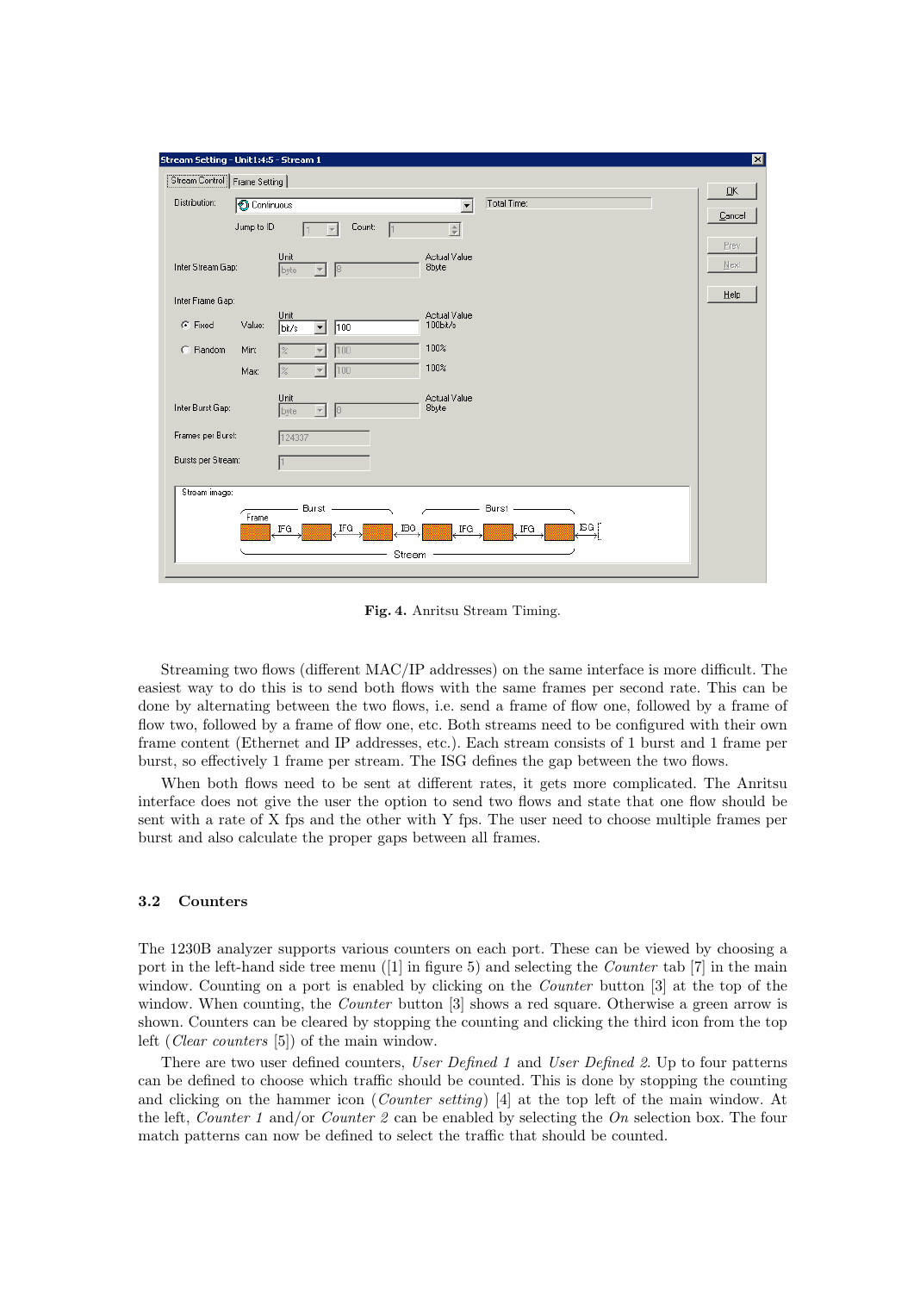| Stream Setting - Unit1:4:5 - Stream 1 |                                                                                                | ⊠      |
|---------------------------------------|------------------------------------------------------------------------------------------------|--------|
| Stream Control   Frame Setting        |                                                                                                |        |
| Distribution:                         | Total Time:<br><b>O</b> Continuous<br>$\overline{\phantom{0}}$                                 | QK     |
|                                       | Jump to ID<br>Count:<br>로                                                                      | Cancel |
|                                       | Unit<br>Actual Value                                                                           | Prev   |
| Inter Stream Gap:                     | 8byte<br>$\vert$ 8<br>byte<br>$\overline{\phantom{a}}$                                         | Next   |
| Inter Frame Gap:                      |                                                                                                | Help   |
| G Fixed                               | Unit<br>Actual Value<br>$100$ bit/s<br>Value:<br>$\sqrt{100}$<br>$\blacktriangledown$<br>bit/s |        |
| C. Random                             | 100%<br>Min:<br>100<br>1%                                                                      |        |
|                                       | 100%<br> %<br>100<br>Max:<br>$\overline{\phantom{a}}$                                          |        |
| Inter Burst Gap:                      | Unit<br>Actual Value<br>8byte<br> 8 <br>$\overline{\nabla}$<br>byte                            |        |
| Frames per Burst:                     | 124337                                                                                         |        |
| Bursts per Stream:                    |                                                                                                |        |
| Stream image:                         | Burst<br>Burst -<br>Frame<br>ISG j<br>IBG.<br>IFG<br>IFG<br>. IFG<br>IFG.                      |        |
|                                       | Stream                                                                                         |        |

Fig. 4. Anritsu Stream Timing.

Streaming two flows (different MAC/IP addresses) on the same interface is more difficult. The easiest way to do this is to send both flows with the same frames per second rate. This can be done by alternating between the two flows, i.e. send a frame of flow one, followed by a frame of flow two, followed by a frame of flow one, etc. Both streams need to be configured with their own frame content (Ethernet and IP addresses, etc.). Each stream consists of 1 burst and 1 frame per burst, so effectively 1 frame per stream. The ISG defines the gap between the two flows.

When both flows need to be sent at different rates, it gets more complicated. The Anritsu interface does not give the user the option to send two flows and state that one flow should be sent with a rate of X fps and the other with Y fps. The user need to choose multiple frames per burst and also calculate the proper gaps between all frames.

### 3.2 Counters

The 1230B analyzer supports various counters on each port. These can be viewed by choosing a port in the left-hand side tree menu ([1] in figure 5) and selecting the *Counter* tab [7] in the main window. Counting on a port is enabled by clicking on the *Counter* button [3] at the top of the window. When counting, the *Counter* button [3] shows a red square. Otherwise a green arrow is shown. Counters can be cleared by stopping the counting and clicking the third icon from the top left (Clear counters [5]) of the main window.

There are two user defined counters, User Defined 1 and User Defined 2. Up to four patterns can be defined to choose which traffic should be counted. This is done by stopping the counting and clicking on the hammer icon (Counter setting) [4] at the top left of the main window. At the left, *Counter 1* and/or *Counter 2* can be enabled by selecting the  $On$  selection box. The four match patterns can now be defined to select the traffic that should be counted.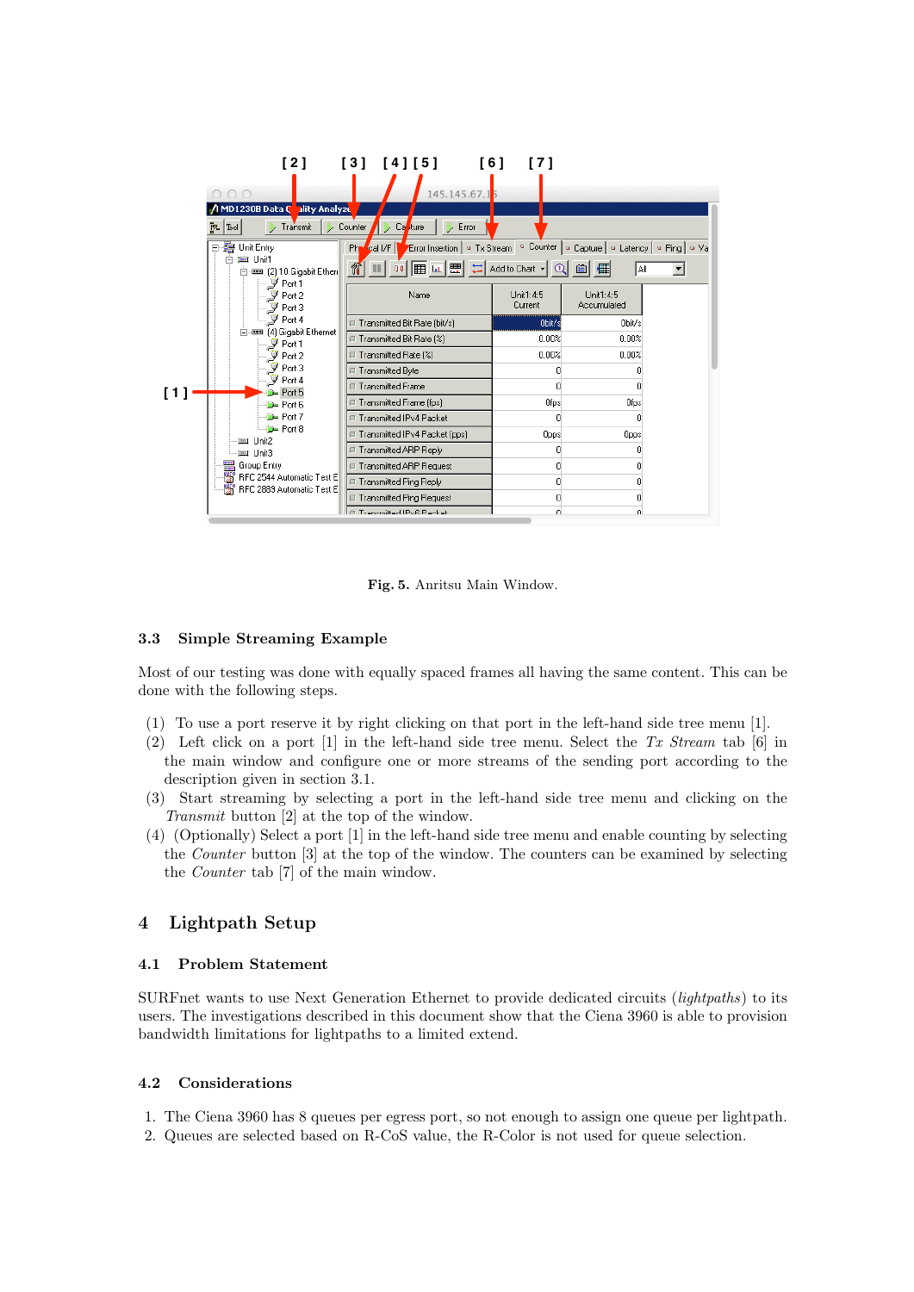| 000                                                                            | [2] [3] [4] [5]<br>[6]<br>145.145.67.15                                                                      | [7]                        |                                                                                   |
|--------------------------------------------------------------------------------|--------------------------------------------------------------------------------------------------------------|----------------------------|-----------------------------------------------------------------------------------|
| / MD1230B Data C<br>ality Analyze<br>∥ ∞[ ₽<br>Transmit<br>日- 第 Unit Entry     | Error<br>Counter<br>Ca<br>ture<br>Php call/F                                                                 |                            | Error Insertion   ¤ Tx Stream   ¤ Counter   ¤ Capture   ¤ Latency   ¤ Ping   ¤ Va |
| 白-車 Unit1<br>白--- [2] 10 Gigabit Ethen<br>— Jy Port 1<br>$-\mathcal{F}$ Port 2 | ñ<br>Name                                                                                                    | Unit1:4:5                  | A∥<br>Unit1:4:5                                                                   |
| $-\mathscr{F}$ Port 3<br>$-\mathcal{F}$ Port 4<br>in-<br>$-\mathcal{J}$ Port 1 | <b>E</b> Transmitted Bit Rate (bit/s)<br>■ Transmitted Bit Rate [%]                                          | Current<br>Obit/s<br>0.00% | Accumulated<br>Obit/s<br>0.00%                                                    |
| $-\mathcal{F}$ Port 2<br>$\mathcal{F}$ Port 3<br>$ \sqrt{9}$ Port 4            | <b>IF</b> Transmitted Rate [%]<br><b>E</b> Transmitted Byte<br><b>E</b> Transmitted Frame                    | 0.00%<br>0                 | 0.00%<br>0<br>n                                                                   |
| $D =$ Port 5<br>Port6<br>$\Box$ Port 7<br>$\Box$ D Port 8                      | <b>E</b> Transmitted Frame [fps]<br><b>E</b> Transmitted IPv4 Packet                                         | Ofps<br>n                  | Ofps<br>$\overline{0}$                                                            |
| — ) ≡ा Unit3                                                                   | <b>E</b> Transmitted IPv4 Packet (pps)<br><b>E</b> Transmitted ARP Reply<br><b>E</b> Transmitted ARP Request | Opps<br>0<br>n             | Opps<br>۵<br>0                                                                    |
| BF RFC 2889 Automatic Test E                                                   | <b>E</b> Transmitted Ping Reply<br><b>E</b> Transmitted Ping Request<br>E. Transmitted IPuR Packet           | 0<br>0<br>n                | 0<br>0<br>nl                                                                      |

Fig. 5. Anritsu Main Window.

### 3.3 Simple Streaming Example

Most of our testing was done with equally spaced frames all having the same content. This can be done with the following steps.

- (1) To use a port reserve it by right clicking on that port in the left-hand side tree menu [1].
- (2) Left click on a port  $[1]$  in the left-hand side tree menu. Select the Tx Stream tab  $[6]$  in the main window and configure one or more streams of the sending port according to the description given in section 3.1.
- (3) Start streaming by selecting a port in the left-hand side tree menu and clicking on the Transmit button [2] at the top of the window.
- (4) (Optionally) Select a port [1] in the left-hand side tree menu and enable counting by selecting the Counter button [3] at the top of the window. The counters can be examined by selecting the Counter tab [7] of the main window.

# 4 Lightpath Setup

### 4.1 Problem Statement

SURFnet wants to use Next Generation Ethernet to provide dedicated circuits (lightpaths) to its users. The investigations described in this document show that the Ciena 3960 is able to provision bandwidth limitations for lightpaths to a limited extend.

### 4.2 Considerations

- 1. The Ciena 3960 has 8 queues per egress port, so not enough to assign one queue per lightpath.
- 2. Queues are selected based on R-CoS value, the R-Color is not used for queue selection.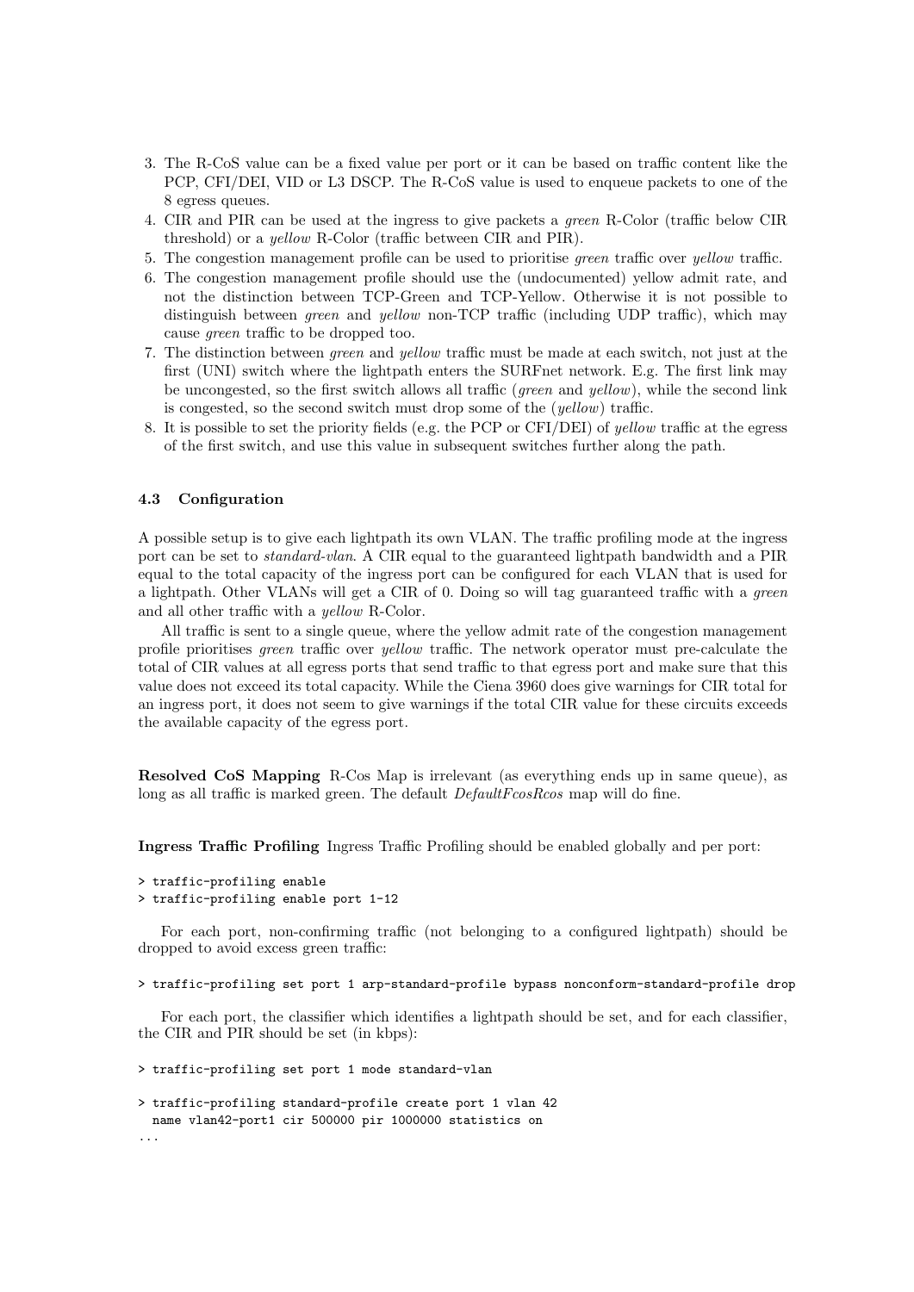- 3. The R-CoS value can be a fixed value per port or it can be based on traffic content like the PCP, CFI/DEI, VID or L3 DSCP. The R-CoS value is used to enqueue packets to one of the 8 egress queues.
- 4. CIR and PIR can be used at the ingress to give packets a green R-Color (traffic below CIR threshold) or a yellow R-Color (traffic between CIR and PIR).
- 5. The congestion management profile can be used to prioritise green traffic over yellow traffic.
- 6. The congestion management profile should use the (undocumented) yellow admit rate, and not the distinction between TCP-Green and TCP-Yellow. Otherwise it is not possible to distinguish between *green* and *yellow* non-TCP traffic (including UDP traffic), which may cause green traffic to be dropped too.
- 7. The distinction between green and yellow traffic must be made at each switch, not just at the first (UNI) switch where the lightpath enters the SURFnet network. E.g. The first link may be uncongested, so the first switch allows all traffic (*green* and  $yellow$ ), while the second link is congested, so the second switch must drop some of the (yellow) traffic.
- 8. It is possible to set the priority fields (e.g. the PCP or CFI/DEI) of yellow traffic at the egress of the first switch, and use this value in subsequent switches further along the path.

#### 4.3 Configuration

A possible setup is to give each lightpath its own VLAN. The traffic profiling mode at the ingress port can be set to standard-vlan. A CIR equal to the guaranteed lightpath bandwidth and a PIR equal to the total capacity of the ingress port can be configured for each VLAN that is used for a lightpath. Other VLANs will get a CIR of 0. Doing so will tag guaranteed traffic with a green and all other traffic with a yellow R-Color.

All traffic is sent to a single queue, where the yellow admit rate of the congestion management profile prioritises green traffic over yellow traffic. The network operator must pre-calculate the total of CIR values at all egress ports that send traffic to that egress port and make sure that this value does not exceed its total capacity. While the Ciena 3960 does give warnings for CIR total for an ingress port, it does not seem to give warnings if the total CIR value for these circuits exceeds the available capacity of the egress port.

Resolved CoS Mapping R-Cos Map is irrelevant (as everything ends up in same queue), as long as all traffic is marked green. The default  $DefaultFcosRcos$  map will do fine.

Ingress Traffic Profiling Ingress Traffic Profiling should be enabled globally and per port:

```
> traffic-profiling enable
> traffic-profiling enable port 1-12
```
For each port, non-confirming traffic (not belonging to a configured lightpath) should be dropped to avoid excess green traffic:

> traffic-profiling set port 1 arp-standard-profile bypass nonconform-standard-profile drop

For each port, the classifier which identifies a lightpath should be set, and for each classifier, the CIR and PIR should be set (in kbps):

```
> traffic-profiling set port 1 mode standard-vlan
```

```
> traffic-profiling standard-profile create port 1 vlan 42
 name vlan42-port1 cir 500000 pir 1000000 statistics on
...
```